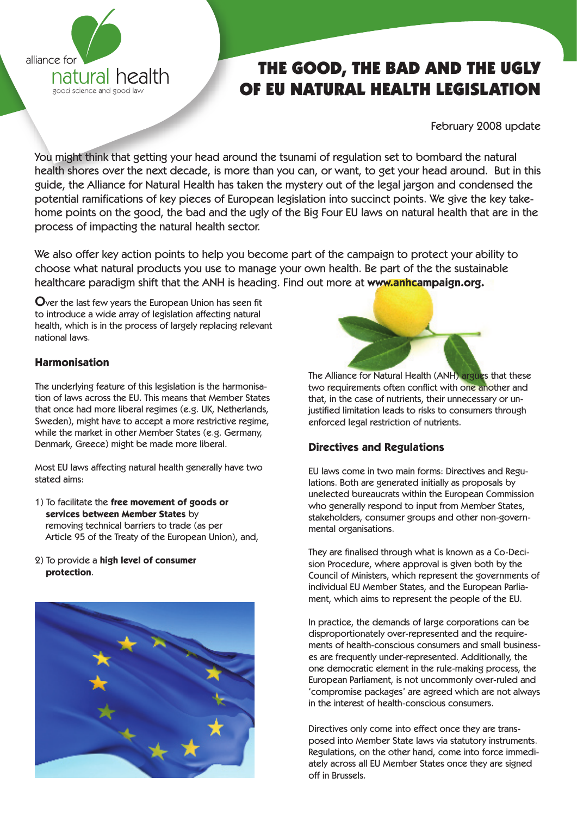

# THE GOOD, THE BAD AND THE UGLY OF EU NATURAL HEALTH LEGISLATION

February 2008 update

You might think that getting your head around the tsunami of regulation set to bombard the natural health shores over the next decade, is more than you can, or want, to get your head around. But in this guide, the Alliance for Natural Health has taken the mystery out of the legal jargon and condensed the potential ramifications of key pieces of European legislation into succinct points. We give the key takehome points on the good, the bad and the ugly of the Big Four EU laws on natural health that are in the process of impacting the natural health sector.

We also offer key action points to help you become part of the campaign to protect your ability to choose what natural products you use to manage your own health. Be part of the the sustainable healthcare paradigm shift that the ANH is heading. Find out more at **www.anhcampaign.org.**

Over the last few years the European Union has seen fit to introduce a wide array of legislation affecting natural health, which is in the process of largely replacing relevant national laws.

# **Harmonisation**

The underlying feature of this legislation is the harmonisation of laws across the EU. This means that Member States that once had more liberal regimes (e.g. UK, Netherlands, Sweden), might have to accept a more restrictive regime, while the market in other Member States (e.g. Germany, Denmark, Greece) might be made more liberal.

Most EU laws affecting natural health generally have two stated aims:

- 1) To facilitate the **free movement of goods or services between Member States** by removing technical barriers to trade (as per Article 95 of the Treaty of the European Union), and,
- 2) To provide a **high level of consumer protection**.





The Alliance for Natural Health (ANH) argues that these two requirements often conflict with one another and that, in the case of nutrients, their unnecessary or unjustified limitation leads to risks to consumers through enforced legal restriction of nutrients.

# **Directives and Regulations**

EU laws come in two main forms: Directives and Regulations. Both are generated initially as proposals by unelected bureaucrats within the European Commission who generally respond to input from Member States, stakeholders, consumer groups and other non-governmental organisations.

They are finalised through what is known as a Co-Decision Procedure, where approval is given both by the Council of Ministers, which represent the governments of individual EU Member States, and the European Parliament, which aims to represent the people of the EU.

In practice, the demands of large corporations can be disproportionately over-represented and the requirements of health-conscious consumers and small businesses are frequently under-represented. Additionally, the one democratic element in the rule-making process, the European Parliament, is not uncommonly over-ruled and 'compromise packages' are agreed which are not always in the interest of health-conscious consumers.

Directives only come into effect once they are transposed into Member State laws via statutory instruments. Regulations, on the other hand, come into force immediately across all EU Member States once they are signed off in Brussels.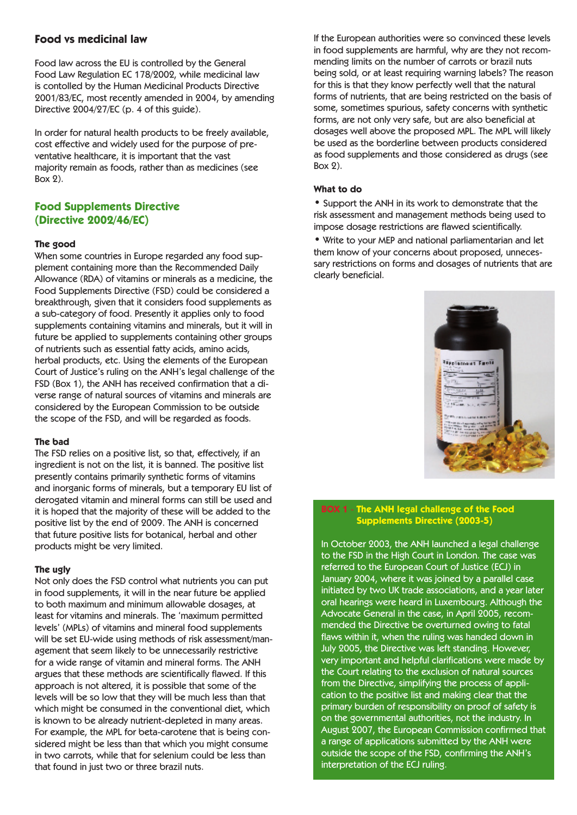## **Food vs medicinal law**

Food law across the EU is controlled by the General Food Law Regulation EC 178/2002, while medicinal law is contolled by the Human Medicinal Products Directive 2001/83/EC, most recently amended in 2004, by amending Directive 2004/27/EC (p. 4 of this guide).

In order for natural health products to be freely available, cost effective and widely used for the purpose of preventative healthcare, it is important that the vast majority remain as foods, rather than as medicines (see Box 2).

## **Food Supplements Directive (Directive 2002/46/EC)**

#### **The good**

When some countries in Europe regarded any food supplement containing more than the Recommended Daily Allowance (RDA) of vitamins or minerals as a medicine, the Food Supplements Directive (FSD) could be considered a breakthrough, given that it considers food supplements as a sub-category of food. Presently it applies only to food supplements containing vitamins and minerals, but it will in future be applied to supplements containing other groups of nutrients such as essential fatty acids, amino acids, herbal products, etc. Using the elements of the European Court of Justice's ruling on the ANH's legal challenge of the FSD (Box 1), the ANH has received confirmation that a diverse range of natural sources of vitamins and minerals are considered by the European Commission to be outside the scope of the FSD, and will be regarded as foods.

#### **The bad**

The FSD relies on a positive list, so that, effectively, if an ingredient is not on the list, it is banned. The positive list presently contains primarily synthetic forms of vitamins and inorganic forms of minerals, but a temporary EU list of derogated vitamin and mineral forms can still be used and it is hoped that the majority of these will be added to the positive list by the end of 2009. The ANH is concerned that future positive lists for botanical, herbal and other products might be very limited.

#### **The ugly**

Not only does the FSD control what nutrients you can put in food supplements, it will in the near future be applied to both maximum and minimum allowable dosages, at least for vitamins and minerals. The 'maximum permitted levels' (MPLs) of vitamins and mineral food supplements will be set EU-wide using methods of risk assessment/management that seem likely to be unnecessarily restrictive for a wide range of vitamin and mineral forms. The ANH argues that these methods are scientifically flawed. If this approach is not altered, it is possible that some of the levels will be so low that they will be much less than that which might be consumed in the conventional diet, which is known to be already nutrient-depleted in many areas. For example, the MPL for beta-carotene that is being considered might be less than that which you might consume in two carrots, while that for selenium could be less than that found in just two or three brazil nuts.

If the European authorities were so convinced these levels in food supplements are harmful, why are they not recommending limits on the number of carrots or brazil nuts being sold, or at least requiring warning labels? The reason for this is that they know perfectly well that the natural forms of nutrients, that are being restricted on the basis of some, sometimes spurious, safety concerns with synthetic forms, are not only very safe, but are also beneficial at dosages well above the proposed MPL. The MPL will likely be used as the borderline between products considered as food supplements and those considered as drugs (see Box 2).

#### **What to do**

• Support the ANH in its work to demonstrate that the risk assessment and management methods being used to impose dosage restrictions are flawed scientifically.

• Write to your MEP and national parliamentarian and let them know of your concerns about proposed, unnecessary restrictions on forms and dosages of nutrients that are clearly beneficial.



## **BOX 1** - **The ANH legal challenge of the Food Supplements Directive (2003-5)**

In October 2003, the ANH launched a legal challenge to the FSD in the High Court in London. The case was referred to the European Court of Justice (ECJ) in January 2004, where it was joined by a parallel case initiated by two UK trade associations, and a year later oral hearings were heard in Luxembourg. Although the Advocate General in the case, in April 2005, recommended the Directive be overturned owing to fatal flaws within it, when the ruling was handed down in July 2005, the Directive was left standing. However, very important and helpful clarifications were made by the Court relating to the exclusion of natural sources from the Directive, simplifying the process of application to the positive list and making clear that the primary burden of responsibility on proof of safety is on the governmental authorities, not the industry. In August 2007, the European Commission confirmed that a range of applications submitted by the ANH were outside the scope of the FSD, confirming the ANH's interpretation of the ECJ ruling.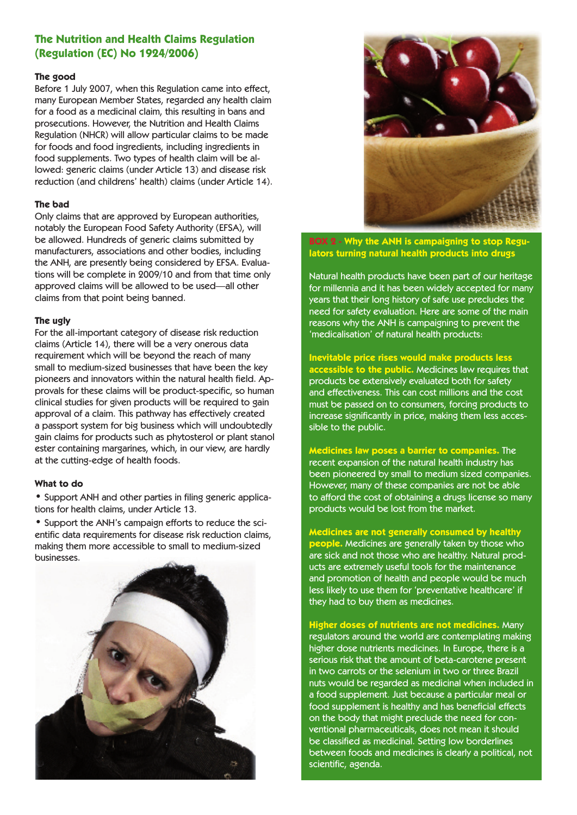# **The Nutrition and Health Claims Regulation (Regulation (EC) No 1924/2006)**

### **The good**

Before 1 July 2007, when this Regulation came into effect, many European Member States, regarded any health claim for a food as a medicinal claim, this resulting in bans and prosecutions. However, the Nutrition and Health Claims Regulation (NHCR) will allow particular claims to be made for foods and food ingredients, including ingredients in food supplements. Two types of health claim will be allowed: generic claims (under Article 13) and disease risk reduction (and childrens' health) claims (under Article 14).

### **The bad**

Only claims that are approved by European authorities, notably the European Food Safety Authority (EFSA), will be allowed. Hundreds of generic claims submitted by manufacturers, associations and other bodies, including the ANH, are presently being considered by EFSA. Evaluations will be complete in 2009/10 and from that time only approved claims will be allowed to be used—all other claims from that point being banned.

### **The ugly**

For the all-important category of disease risk reduction claims (Article 14), there will be a very onerous data requirement which will be beyond the reach of many small to medium-sized businesses that have been the key pioneers and innovators within the natural health field. Approvals for these claims will be product-specific, so human clinical studies for given products will be required to gain approval of a claim. This pathway has effectively created a passport system for big business which will undoubtedly gain claims for products such as phytosterol or plant stanol ester containing margarines, which, in our view, are hardly at the cutting-edge of health foods.

## **What to do**

• Support ANH and other parties in filing generic applications for health claims, under Article 13.

• Support the ANH's campaign efforts to reduce the scientific data requirements for disease risk reduction claims, making them more accessible to small to medium-sized businesses.





**BOX 2 - Why the ANH is campaigning to stop Regulators turning natural health products into drugs**

Natural health products have been part of our heritage for millennia and it has been widely accepted for many years that their long history of safe use precludes the need for safety evaluation. Here are some of the main reasons why the ANH is campaigning to prevent the 'medicalisation' of natural health products:

## **Inevitable price rises would make products less**

**accessible to the public.** Medicines law requires that products be extensively evaluated both for safety and effectiveness. This can cost millions and the cost must be passed on to consumers, forcing products to increase significantly in price, making them less accessible to the public.

**Medicines law poses a barrier to companies.** The recent expansion of the natural health industry has been pioneered by small to medium sized companies. However, many of these companies are not be able to afford the cost of obtaining a drugs license so many products would be lost from the market.

**Medicines are not generally consumed by healthy people.** Medicines are generally taken by those who are sick and not those who are healthy. Natural products are extremely useful tools for the maintenance and promotion of health and people would be much less likely to use them for 'preventative healthcare' if they had to buy them as medicines.

**Higher doses of nutrients are not medicines.** Many regulators around the world are contemplating making higher dose nutrients medicines. In Europe, there is a serious risk that the amount of beta-carotene present in two carrots or the selenium in two or three Brazil nuts would be regarded as medicinal when included in a food supplement. Just because a particular meal or food supplement is healthy and has beneficial effects on the body that might preclude the need for conventional pharmaceuticals, does not mean it should be classified as medicinal. Setting low borderlines between foods and medicines is clearly a political, not scientific, agenda.